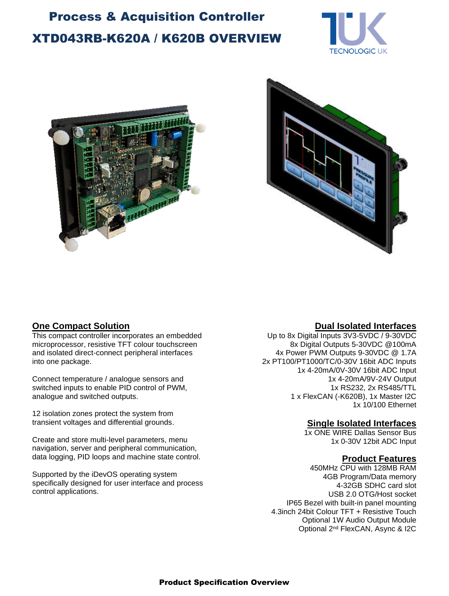# XTD043RB-K620A / K620B OVERVIEW Process & Acquisition Controller





This compact controller incorporates an embedded microprocessor, resistive TFT colour touchscreen and isolated direct-connect peripheral interfaces into one package.

Connect temperature / analogue sensors and switched inputs to enable PID control of PWM, analogue and switched outputs.

12 isolation zones protect the system from transient voltages and differential grounds.

Create and store multi-level parameters, menu navigation, server and peripheral communication, data logging, PID loops and machine state control.

Supported by the iDevOS operating system specifically designed for user interface and process control applications.

### **One Compact Solution Dual Isolated Interfaces**

Up to 8x Digital Inputs 3V3-5VDC / 9-30VDC 8x Digital Outputs 5-30VDC @100mA 4x Power PWM Outputs 9-30VDC @ 1.7A 2x PT100/PT1000/TC/0-30V 16bit ADC Inputs 1x 4-20mA/0V-30V 16bit ADC Input 1x 4-20mA/9V-24V Output 1x RS232, 2x RS485/TTL 1 x FlexCAN (-K620B), 1x Master I2C 1x 10/100 Ethernet

#### **Single Isolated Interfaces**

1x ONE WIRE Dallas Sensor Bus 1x 0-30V 12bit ADC Input

#### **Product Features**

450MHz CPU with 128MB RAM 4GB Program/Data memory 4-32GB SDHC card slot USB 2.0 OTG/Host socket IP65 Bezel with built-in panel mounting 4.3inch 24bit Colour TFT + Resistive Touch Optional 1W Audio Output Module Optional 2<sup>nd</sup> FlexCAN, Async & I2C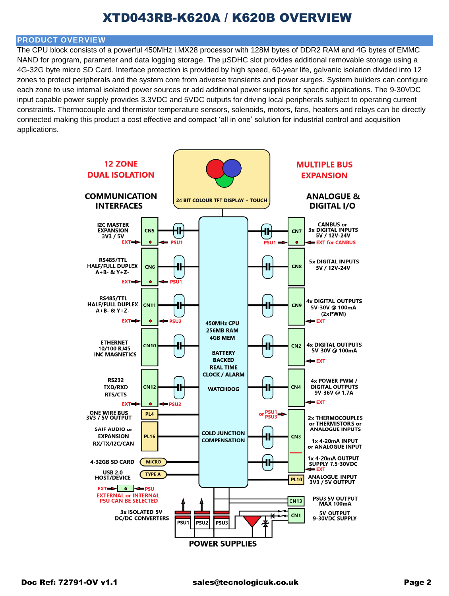### XTD043RB-K620A / K620B OVERVIEW

#### **PRODUCT OVERVIEW**

The CPU block consists of a powerful 450MHz i.MX28 processor with 128M bytes of DDR2 RAM and 4G bytes of EMMC NAND for program, parameter and data logging storage. The µSDHC slot provides additional removable storage using a 4G-32G byte micro SD Card. Interface protection is provided by high speed, 60-year life, galvanic isolation divided into 12 zones to protect peripherals and the system core from adverse transients and power surges. System builders can configure each zone to use internal isolated power sources or add additional power supplies for specific applications. The 9-30VDC input capable power supply provides 3.3VDC and 5VDC outputs for driving local peripherals subject to operating current constraints. Thermocouple and thermistor temperature sensors, solenoids, motors, fans, heaters and relays can be directly connected making this product a cost effective and compact 'all in one' solution for industrial control and acquisition applications.

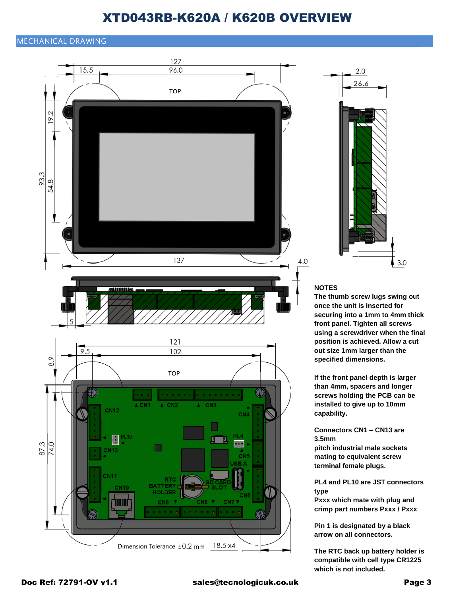### XTD043RB-K620A / K620B OVERVIEW

#### MECHANICAL DRAWING



**which is not included.**